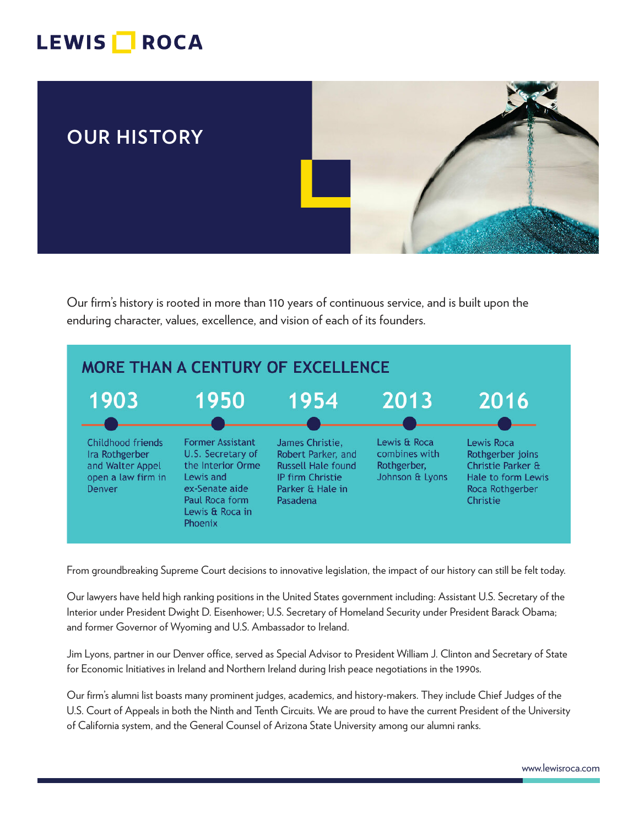## LEWIS **ROCA**



Our firm's history is rooted in more than 110 years of continuous service, and is built upon the enduring character, values, excellence, and vision of each of its founders.



From groundbreaking Supreme Court decisions to innovative legislation, the impact of our history can still be felt today.

Our lawyers have held high ranking positions in the United States government including: Assistant U.S. Secretary of the Interior under President Dwight D. Eisenhower; U.S. Secretary of Homeland Security under President Barack Obama; and former Governor of Wyoming and U.S. Ambassador to Ireland.

Jim Lyons, partner in our Denver office, served as Special Advisor to President William J. Clinton and Secretary of State for Economic Initiatives in Ireland and Northern Ireland during Irish peace negotiations in the 1990s.

Our firm's alumni list boasts many prominent judges, academics, and history-makers. They include Chief Judges of the U.S. Court of Appeals in both the Ninth and Tenth Circuits. We are proud to have the current President of the University of California system, and the General Counsel of Arizona State University among our alumni ranks.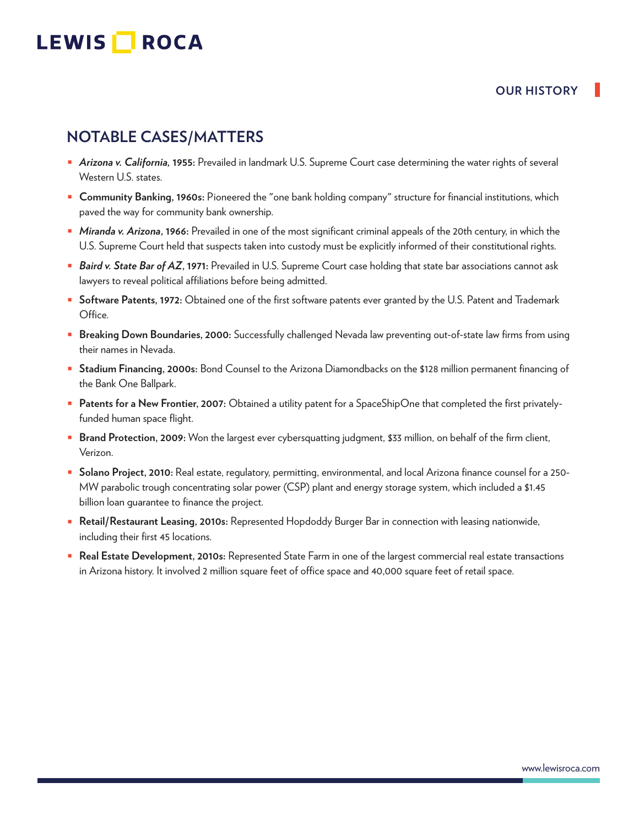# LEWIS **NOCA**

#### **OUR HISTORY**

## **NOTABLE CASES/MATTERS**

- *Arizona v. California,* **1955:** Prevailed in landmark U.S. Supreme Court case determining the water rights of several Western U.S. states.
- **Community Banking, 1960s:** Pioneered the "one bank holding company" structure for financial institutions, which paved the way for community bank ownership.
- *Miranda v. Arizona***, 1966:** Prevailed in one of the most significant criminal appeals of the 20th century, in which the U.S. Supreme Court held that suspects taken into custody must be explicitly informed of their constitutional rights.
- *Baird v. State Bar of AZ***, 1971:** Prevailed in U.S. Supreme Court case holding that state bar associations cannot ask lawyers to reveal political affiliations before being admitted.
- **Software Patents, 1972:** Obtained one of the first software patents ever granted by the U.S. Patent and Trademark Office.
- **Breaking Down Boundaries, 2000:** Successfully challenged Nevada law preventing out-of-state law firms from using their names in Nevada.
- **Stadium Financing, 2000s:** Bond Counsel to the Arizona Diamondbacks on the \$128 million permanent financing of the Bank One Ballpark.
- **Patents for a New Frontier, 2007:** Obtained a utility patent for a SpaceShipOne that completed the first privatelyfunded human space flight.
- **Brand Protection, 2009:** Won the largest ever cybersquatting judgment, \$33 million, on behalf of the firm client, Verizon.
- **Solano Project, 2010:** Real estate, regulatory, permitting, environmental, and local Arizona finance counsel for a 250- MW parabolic trough concentrating solar power (CSP) plant and energy storage system, which included a \$1.45 billion loan guarantee to finance the project.
- **Retail/Restaurant Leasing, 2010s:** Represented Hopdoddy Burger Bar in connection with leasing nationwide, including their first 45 locations.
- **Real Estate Development, 2010s:** Represented State Farm in one of the largest commercial real estate transactions in Arizona history. It involved 2 million square feet of office space and 40,000 square feet of retail space.